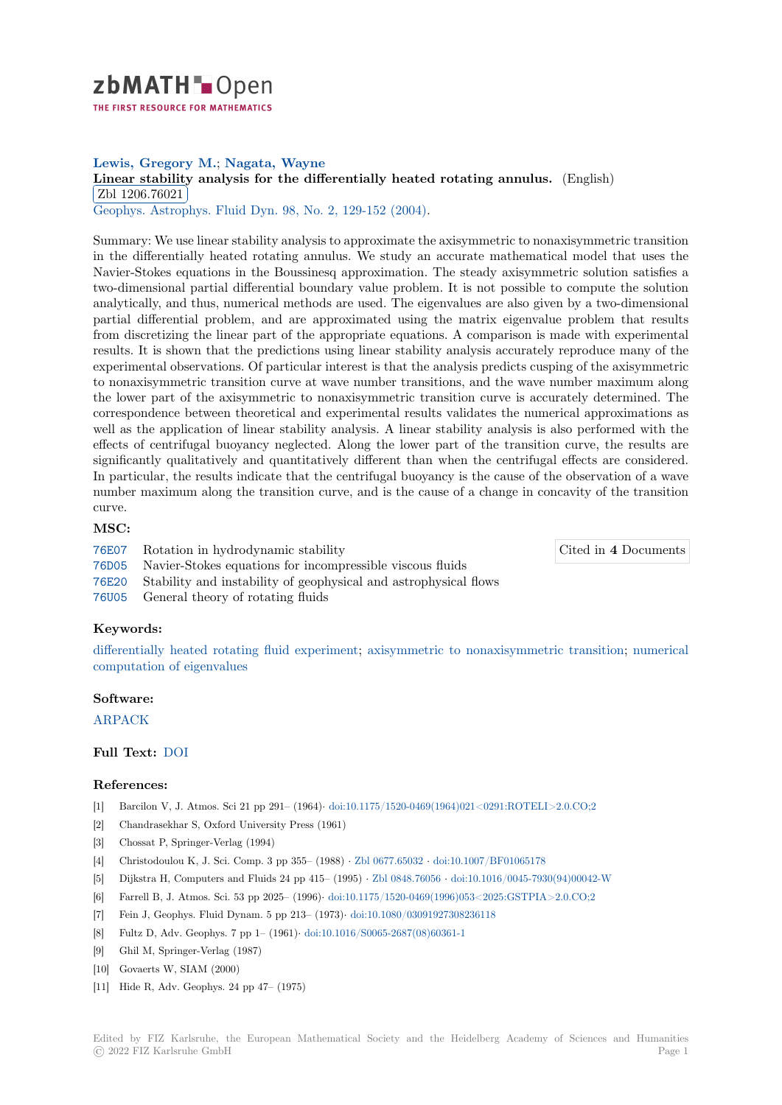

# **Lewis, Gregory M.**; **Nagata, Wayne**

[L](https://zbmath.org/)inear stability analysis for the differentially heated rotating annulus. (English) Zbl 1206.76021

Geophys. Astrophys. Fluid Dyn. 98, No. 2, 129-152 (2004).

[Summary: We use linear stability analysis to approximate the axisymmetric to non](https://zbmath.org/1206.76021)axisymmetric transition [in the differential](https://zbmath.org/1206.76021)ly heated rotating annulus. We study an accurate mathematical model that uses the [Navier-Stokes equations in the B](https://zbmath.org/journals/?q=se:80)[oussinesq approximation.](https://zbmath.org/?q=in:275511) The steady axisymmetric solution satisfies a two-dimensional partial differential boundary value problem. It is not possible to compute the solution analytically, and thus, numerical methods are used. The eigenvalues are also given by a two-dimensional partial differential problem, and are approximated using the matrix eigenvalue problem that results from discretizing the linear part of the appropriate equations. A comparison is made with experimental results. It is shown that the predictions using linear stability analysis accurately reproduce many of the experimental observations. Of particular interest is that the analysis predicts cusping of the axisymmetric to nonaxisymmetric transition curve at wave number transitions, and the wave number maximum along the lower part of the axisymmetric to nonaxisymmetric transition curve is accurately determined. The correspondence between theoretical and experimental results validates the numerical approximations as well as the application of linear stability analysis. A linear stability analysis is also performed with the effects of centrifugal buoyancy neglected. Along the lower part of the transition curve, the results are significantly qualitatively and quantitatively different than when the centrifugal effects are considered. In particular, the results indicate that the centrifugal buoyancy is the cause of the observation of a wave number maximum along the transition curve, and is the cause of a change in concavity of the transition curve.

### **MSC:**

76E07 Rotation in hydrodynamic stability

Cited in **4** Documents

- 76D05 Navier-Stokes equations for incompressible viscous fluids
- 76E20 Stability and instability of geophysical and astrophysical flows
- 76U05 General theory of rotating fluids

## **[Keyw](https://zbmath.org/classification/?q=cc:76D05)ords:**

[differe](https://zbmath.org/classification/?q=cc:76E20)ntially heated rotating fluid experiment; axisymmetric to nonaxisymmetric transition; numerical [compu](https://zbmath.org/classification/?q=cc:76U05)tation of eigenvalues

## **Software:**

[ARPACK](https://zbmath.org/?q=ut:differentially+heated+rotating+fluid+experiment)

## **Full Text:** DOI

## **[Referenc](https://swmath.org/software/4218)es:**

- [1] Barcilon V, J. Atmos. Sci 21 pp 291– (1964)*·* doi:10.1175/1520-0469(1964)021<0291:ROTELI>2.0.CO;2
- [2] Chandras[ekhar](https://dx.doi.org/10.1080/0309192042000204004) S, Oxford University Press (1961)
- [3] Chossat P, Springer-Verlag (1994)
- [4] Christodoulou K, J. Sci. Comp. 3 pp 355– (1988) *·* Zbl 0677.65032 *·* doi:10.1007/BF01065178
- [5] Dijkstra H, Computers and Fluids 24 pp 415– (1995) *·* Zbl 0848.76056 *·* [doi:10.1016/0045-7930\(94\)00042](https://dx.doi.org/10.1175/1520-0469(1964)021<0291:ROTELI>2.0.CO;2)-W
- [6] Farrell B, J. Atmos. Sci. 53 pp 2025– (1996)*·* doi:10.1175/1520-0469(1996)053<2025:GSTPIA>2.0.CO;2
- [7] Fein J, Geophys. Fluid Dynam. 5 pp 213– (1973)*·* doi:10.1080/03091927308236118
- [8] Fultz D, Adv. Geophys. 7 pp 1– (1961)*·* doi:10.101[6/S0065-2687\(08](https://zbmath.org/0677.65032)[\)](https://zbmath.org/0848.76056)[60361-1](https://dx.doi.org/10.1007/BF01065178)
- [9] Ghil M, Springer-Verlag (1987)
- [10] Govaerts W, SIAM (2000)
- [11] Hide R, Adv. Geophys. 24 pp 47– (1975[\)](https://dx.doi.org/10.1016/S0065-2687(08)60361-1)